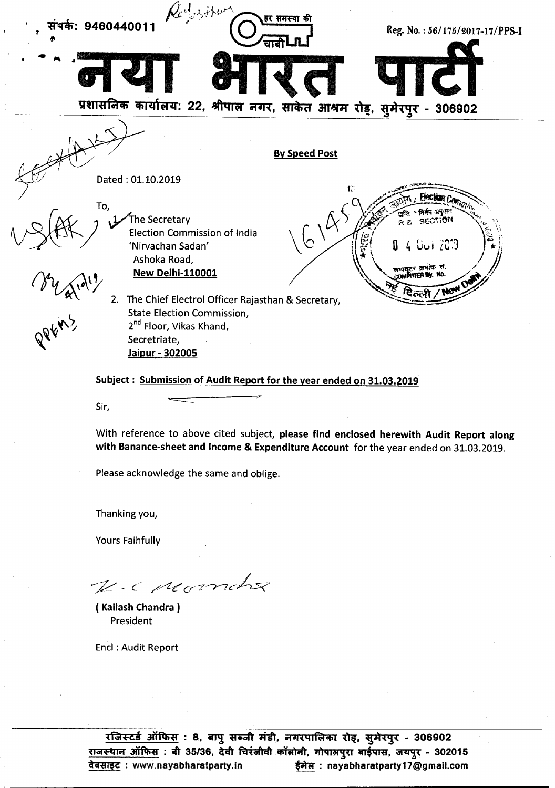

### Subject : Submission of Audit Report for the year ended on 31.03.2019

With reference to above cited subject, please find enclosed herewith Audit Report along with Banance-sheet and Income & Expenditure Account for the year ended on 31.03.2019.

Please acknowledge the same and oblige.

Thanking you,

Yours Faihfully

.~ - C· *\_,//[.c(J7-r-7ck*

( Kailash Chandra) President

End: Audit Report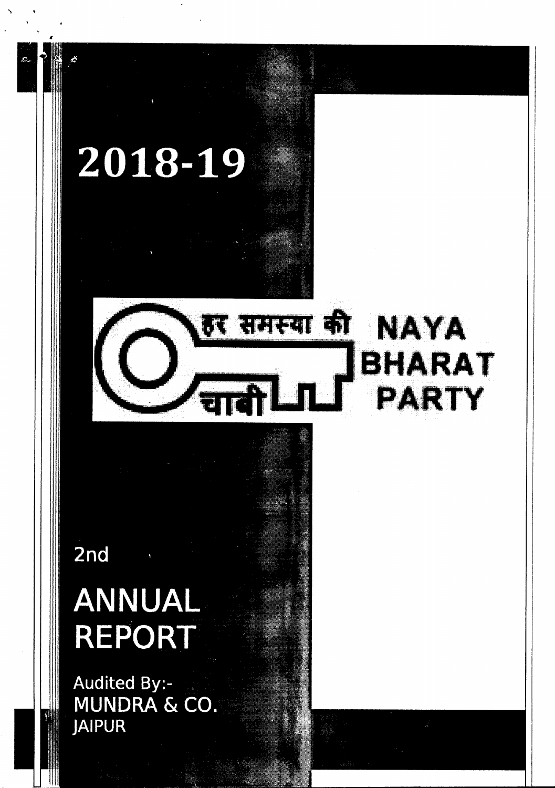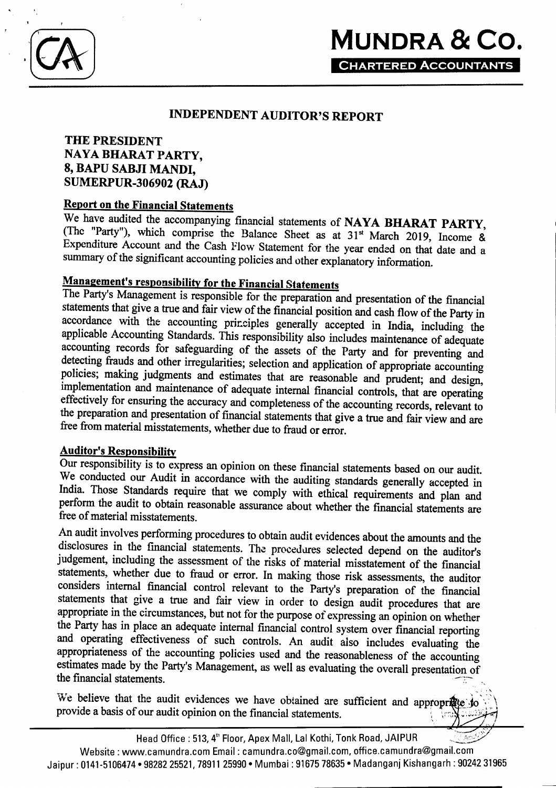## INDEPENDENT AUDITOR'S REPORT

## THE PRESIDENT NAYA BHARAT PARTY, 8, BAPU SABJI MANDl, SUMERPUR-306902 (RAJ)

### Report on the Financial Statements

We have audited the accompanying financial statements of NAYA BHARAT PARTY, (The "Party"), which comprise the Balance Sheet as at  $31<sup>st</sup>$  March 2019, Income & Expenditure Account and the Cash Flow Statement for the year ended on that date and a summary of the significant accounting policies and other explanatory information.

# Management's responsibility for the Financial Statements

The Party's Management is responsible for the preparation and presentation of the financial statements that give a true and fair view of the financial position and cash flow of the Party in accordance with the accounting principles generally accepted in India, including the applicable Accounting Standards. This responsibility also includes maintenance of adequate accounting records for safeguarding of the assets of the Party and for preventing and detecting frauds and other irregularities; selection and application of appropriate accounting policies; making judgments and estimates that are reasonable and prudent; and design, implementation and maintenance of adequate internal financial controls, that are operating effectively for ensuring the accuracy and completeness of the accounting records, relevant to the preparation and presentation of financial statements that give a true and fair view and are free from material misstatements, whether due to fraud or error.

### Auditor's Responsibility

Our responsibility is to express an opinion on these financial statements based on our audit. We conducted our Audit in accordance with the auditing standards generally accepted in India. Those Standards require that we comply with ethical requirements and plan and perform the audit to obtain reasonable assurance about whether the financial statements are free of material misstatements.

An audit involves performing procedures to obtain audit evidences about the amounts and the disclosures in the financial statements. The procedures selected depend on the auditor's judgement, including the assessment of the risks of material misstatement of the financial statements, whether due to fraud or error. In making those risk assessments, the auditor considers internal financial control relevant to the Party's preparation of the financial statements that give a true and fair view in order to design audit procedures that are appropriate in the circumstances, but not for the purpose of expressing an opinion on whether the Party has in place an adequate internal financial control system over financial reporting and operating effectiveness of such controls. An audit also includes evaluating the appropriateness of the accounting policies used and the reasonableness of the accounting estimates made by the Party's Management, as well as evaluating the overall presentation of the financial statements.  $\blacksquare$ 

We believe that the audit evidences we have obtained are sufficient and appropriate do provide a basis of our audit opinion on the financial statements.

~~..."~ Head Office: 513, 4<sup>th</sup> Floor, Apex Mall, Lal Kothi, Tonk Road, JAIPUR Website: www.camundra.com Email: camundra.co@gmail.com, office.camundra@gmail.com Jaipur: 0141-5106474·9828225521,7891125990· Mumbai : 9167578635· Madanqan] Kishanqarh : 9024231965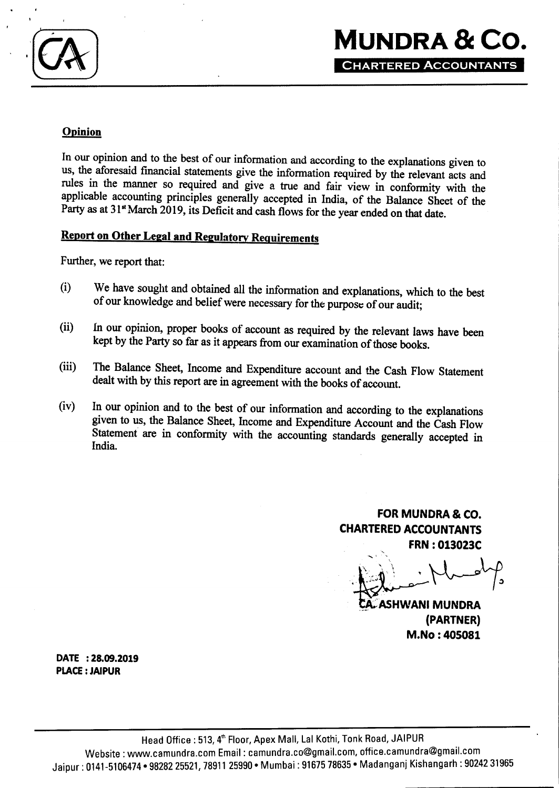

## **Opinion**

In our opinion and to the best of our information and according to the explanations given to us, the aforesaid financial statements give the information required by the relevant acts and rules in the manner so required and give a true and fair view in conformity with the applicable accounting principles generally accepted in India, of the Balance Sheet of the Party as at 31<sup>st</sup> March 2019, its Deficit and cash flows for the year ended on that date.

## **Report on Other Legal and Regulatory Requirements**

Further, we report that:

- (i) We have sought and obtained all the information and explanations, which to the best of our knowledge and belief were necessary for the purpose of our audit;
- (ii) In our opinion, proper books of account as required by the relevant laws have been kept by the Party so far as it appears from our examination of those books.
- (iii) The Balance Sheet, Income and Expenditure account and the Cash Flow Statement dealt with by this report are in agreement with the books of account,
- (iv) In our opinion and to the best of our information and according to the explanations given to us, the Balance Sheet, Income and Expenditure Account and the Cash Flow Statement are in conformity with the accounting standards generally accepted in India.

**FOR MUNDRA & CO. CHARTERED ACCOUNTANTS FRN : 013023C**

 $\mathcal P$ ASHWANI MUNDRA (PARTNER) M.No: 405081

**DATE : 28.09.2019 PLACE: JAIPUR**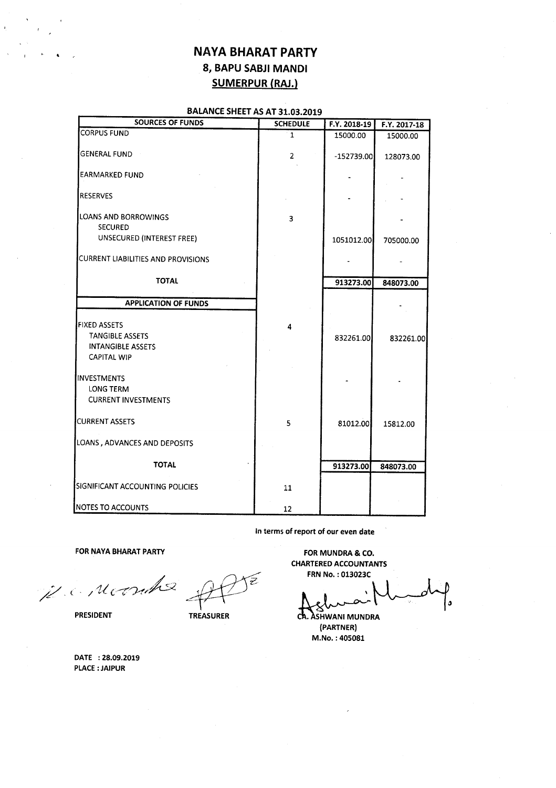## NAYA SHARAT PARTY 8, BAPU SABJI MANDl SUMERPUR (RAJ.)

### BALANCE SHEET AS AT 31.03.2019

| <b>SOURCES OF FUNDS</b>                       | <b>SCHEDULE</b> | F.Y. 2018-19 | F.Y. 2017-18 |
|-----------------------------------------------|-----------------|--------------|--------------|
| <b>CORPUS FUND</b>                            | $\mathbf{1}$    | 15000.00     | 15000.00     |
| <b>GENERAL FUND</b>                           | $\overline{2}$  | $-152739.00$ | 128073.00    |
| <b>EARMARKED FUND</b>                         |                 |              |              |
| <b>RESERVES</b>                               |                 |              |              |
| LOANS AND BORROWINGS<br>SECURED               | 3               |              |              |
| UNSECURED (INTEREST FREE)                     |                 | 1051012.00   | 705000.00    |
| CURRENT LIABILITIES AND PROVISIONS            |                 |              |              |
| <b>TOTAL</b>                                  |                 | 913273.00    | 848073.00    |
| <b>APPLICATION OF FUNDS</b>                   |                 |              |              |
|                                               |                 |              |              |
| <b>FIXED ASSETS</b><br><b>TANGIBLE ASSETS</b> | 4               | 832261.00    |              |
| <b>INTANGIBLE ASSETS</b>                      |                 |              | 832261.00    |
| <b>CAPITAL WIP</b>                            |                 |              |              |
| IINVESTMENTS                                  |                 |              |              |
| LONG TERM                                     |                 |              |              |
| <b>CURRENT INVESTMENTS</b>                    |                 |              |              |
| <b>CURRENT ASSETS</b>                         | 5               | 81012.00     | 15812.00     |
| LOANS, ADVANCES AND DEPOSITS                  |                 |              |              |
| <b>TOTAL</b>                                  |                 | 913273.00    | 848073.00    |
| SIGNIFICANT ACCOUNTING POLICIES               | 11              |              |              |
| <b>NOTES TO ACCOUNTS</b>                      | 12              |              |              |

In terms of report of our even date

FOR NAYA BHARAT PARTY **FOR MUNDRA & CO.** 

*//. (. / UVZ'/).-tr,/{sz \_~* CHARTERED ACCOUNTANTS<br>
FRN NO.:013023C<br>
PRESIDENT TREASURER CA. ASHWANI MUNDRA

CHARTEREDACCOUNTANTS

CA. ASHWANI MUNDRA (PARTNER) M.No. : 405081

DATE : 28.09.2019 PLACE: JAIPUR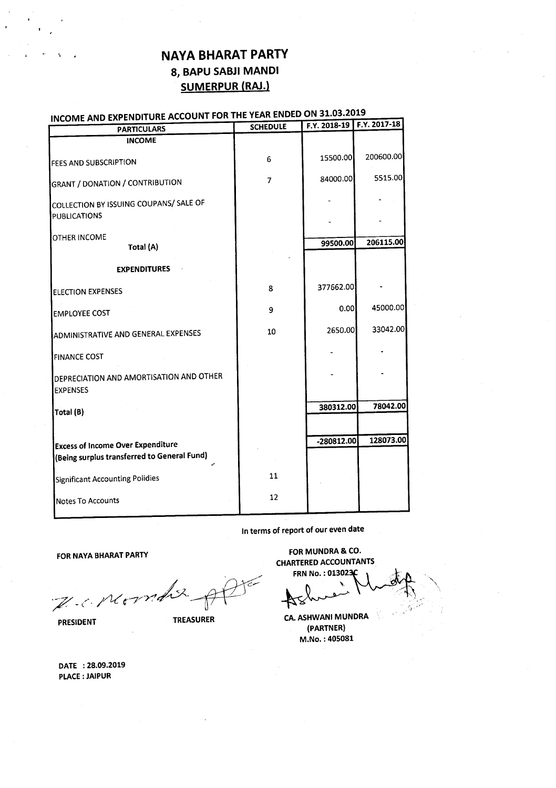# NAYA BHARAT PARTY 8, BAPU SABJI MANDl SUMERPUR (RAJ.)

#### INCOME AND EXPENDITURE ACCOUNT FOR THE YEAR ENDED ON 31.03.2019

| <b>PARTICULARS</b>                                         | <b>SCHEDULE</b> |              | F.Y. 2018-19   F.Y. 2017-18 |
|------------------------------------------------------------|-----------------|--------------|-----------------------------|
| <b>INCOME</b>                                              |                 |              |                             |
| FEES AND SUBSCRIPTION                                      | 6               | 15500.00     | 200600.00                   |
| <b>GRANT / DONATION / CONTRIBUTION</b>                     | 7               | 84000.00     | 5515.00                     |
| COLLECTION BY ISSUING COUPANS/ SALE OF                     |                 |              |                             |
| <b>PUBLICATIONS</b>                                        |                 |              |                             |
| OTHER INCOME                                               |                 | 99500.00     | 206115.00                   |
| Total (A)                                                  |                 |              |                             |
| <b>EXPENDITURES</b>                                        |                 |              |                             |
| <b>ELECTION EXPENSES</b>                                   | 8               | 377662.00    |                             |
| <b>EMPLOYEE COST</b>                                       | 9               | 0.00         | 45000.00                    |
| ADMINISTRATIVE AND GENERAL EXPENSES                        | 10              | 2650.00      | 33042.00                    |
| <b>FINANCE COST</b>                                        |                 |              |                             |
| DEPRECIATION AND AMORTISATION AND OTHER<br><b>EXPENSES</b> |                 |              |                             |
| Total (B)                                                  |                 | 380312.00    | 78042.00                    |
|                                                            |                 |              |                             |
| <b>Excess of Income Over Expenditure</b>                   |                 | $-280812.00$ | 128073.00                   |
| (Being surplus transferred to General Fund)                |                 |              |                             |
| Significant Accounting Polidies                            | 11              |              |                             |
| Notes To Accounts                                          | 12              |              |                             |

In terms of report of our even date

FOR NAYA BHARAT PARTY **FOR MUNDRA & CO.** 

 $\mathbb{Z}$  . Me  $\gamma$ 1

FOR MUNDRA & CO.<br>
HARTERED ACCOUNTANTS<br>
FRN No.: 013023C<br>
FRN No.: 013023C<br>
AS

CHARTEREDACCOUNTANTS

**PRESIDENT TREASURER CA. ASHWANI MUNDRA** {PARTNER} M.No. : 405081

DATE : 28.09.2019 PLACE: JAIPUR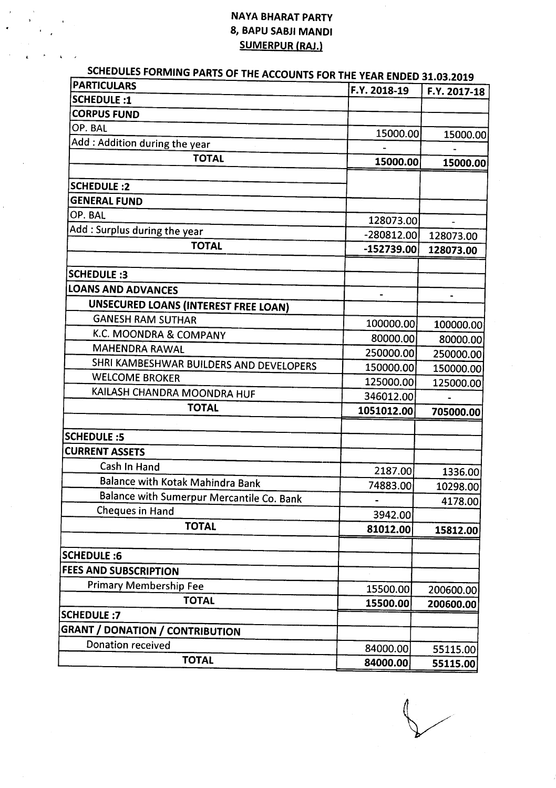## NAYA BHARAT PARTY 8, BAPU SABJI MANDl SUMERPUR (RAJ.)

 $\ddot{\phantom{1}}$ 

 $\ddot{\phantom{a}}$ 

| SCHEDULES FORMING PARTS OF THE ACCOUNTS FOR THE YEAR ENDED 31.03.2019<br><b>PARTICULARS</b> | F.Y. 2018-19             | F.Y. 2017-18 |
|---------------------------------------------------------------------------------------------|--------------------------|--------------|
| <b>SCHEDULE:1</b>                                                                           |                          |              |
| <b>CORPUS FUND</b>                                                                          |                          |              |
| OP. BAL                                                                                     | 15000.00                 | 15000.00     |
| Add: Addition during the year                                                               |                          |              |
| <b>TOTAL</b>                                                                                | 15000.00                 | 15000.00     |
|                                                                                             |                          |              |
| <b>SCHEDULE:2</b><br><b>GENERAL FUND</b>                                                    |                          |              |
| OP. BAL                                                                                     |                          |              |
|                                                                                             | 128073.00                |              |
| Add : Surplus during the year                                                               | $-280812.00$             | 128073.00    |
| <b>TOTAL</b>                                                                                | $-152739.00$             | 128073.00    |
| <b>SCHEDULE:3</b>                                                                           |                          |              |
| <b>LOANS AND ADVANCES</b>                                                                   |                          |              |
| UNSECURED LOANS (INTEREST FREE LOAN)                                                        | $\overline{\phantom{0}}$ |              |
| <b>GANESH RAM SUTHAR</b>                                                                    |                          |              |
| K.C. MOONDRA & COMPANY                                                                      | 100000.00                | 100000.00    |
| <b>MAHENDRA RAWAL</b>                                                                       | 80000.00                 | 80000.00     |
| SHRI KAMBESHWAR BUILDERS AND DEVELOPERS                                                     | 250000.00                | 250000.00    |
| <b>WELCOME BROKER</b>                                                                       | 150000.00                | 150000.00    |
| KAILASH CHANDRA MOONDRA HUF                                                                 | 125000.00                | 125000.00    |
| <b>TOTAL</b>                                                                                | 346012.00                |              |
|                                                                                             | 1051012.00               | 705000.00    |
| <b>SCHEDULE :5</b>                                                                          |                          |              |
| <b>CURRENT ASSETS</b>                                                                       |                          |              |
| Cash In Hand                                                                                | 2187.00                  | 1336.00      |
| Balance with Kotak Mahindra Bank                                                            | 74883.00                 | 10298.00     |
| Balance with Sumerpur Mercantile Co. Bank                                                   |                          | 4178.00      |
| Cheques in Hand                                                                             | 3942.00                  |              |
| <b>TOTAL</b>                                                                                | 81012.00                 | 15812.00     |
|                                                                                             |                          |              |
| <b>SCHEDULE:6</b>                                                                           |                          |              |
| <b>FEES AND SUBSCRIPTION</b>                                                                |                          |              |
| <b>Primary Membership Fee</b>                                                               | 15500.00                 | 200600.00    |
| <b>TOTAL</b>                                                                                | 15500.00                 | 200600.00    |
| <b>SCHEDULE:7</b>                                                                           |                          |              |
| <b>GRANT / DONATION / CONTRIBUTION</b>                                                      |                          |              |
| Donation received                                                                           | 84000.00                 | 55115.00     |
| <b>TOTAL</b>                                                                                | 84000.00                 | 55115.00     |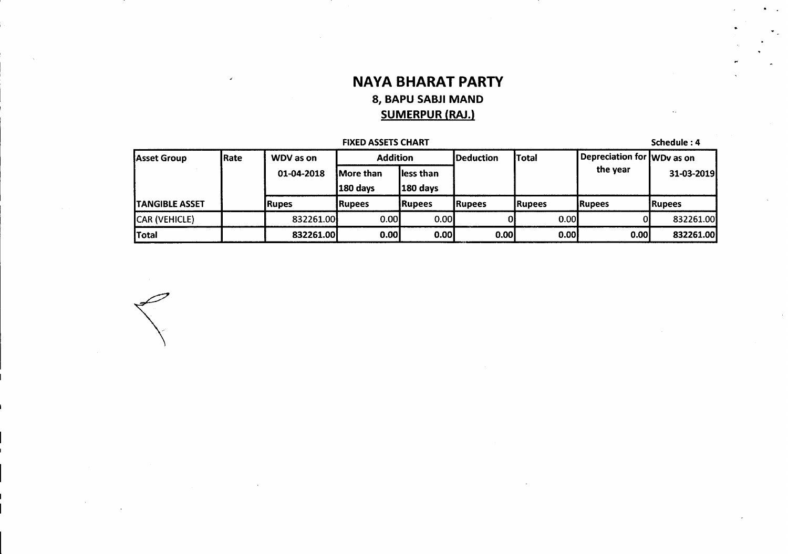# **NAVA BHARAT PARTY** 8, **BAPU SABJI MAND SUMERPUR** (RAJ.)

| <b>FIXED ASSETS CHART</b> |                          |                               |                          |                   |                   |                   | Schedule: 4                |                |
|---------------------------|--------------------------|-------------------------------|--------------------------|-------------------|-------------------|-------------------|----------------------------|----------------|
| Asset Group               | <b>Rate</b><br>WDV as on |                               | <b>Addition</b>          |                   | <b>IDeduction</b> | lTotal            | Depreciation for WDv as on |                |
|                           | 01-04-2018               | <b>IMore than</b><br>180 days | lless than<br>$180$ days |                   |                   | the year          | 31-03-2019                 |                |
| <b>ITANGIBLE ASSET</b>    |                          | lRupes                        | IRupees                  | <b>IRupees</b>    | <b>IRupees</b>    | <b>IRupees</b>    | lRupees                    | <b>IRupees</b> |
| CAR (VEHICLE)             |                          | 832261.00                     | 0.001                    | 0.00 <sub>l</sub> |                   | 0.00 <sub>l</sub> |                            | 832261.00      |
| Total                     |                          | 832261.00                     | 0.00                     | 0.00 <sub>l</sub> | 0.00 <sub>l</sub> | 0.00              | 0.00 <sub>l</sub>          | 832261.00      |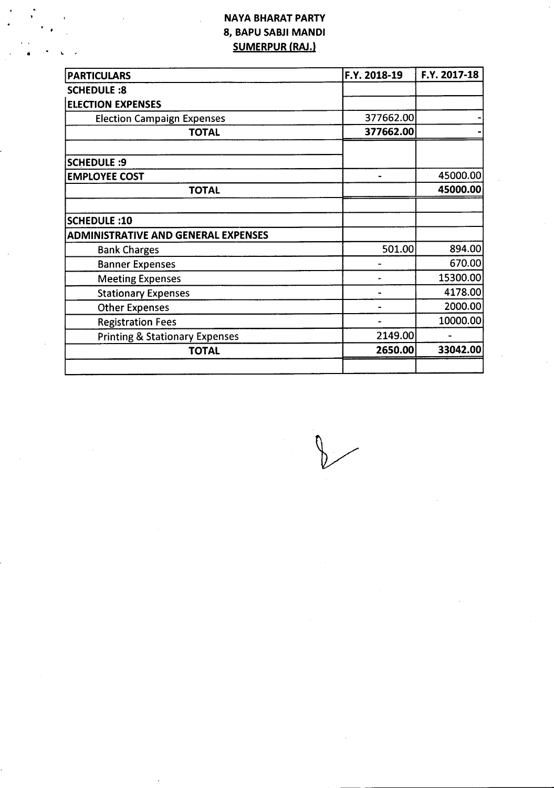## NAYA BHARAT PARTY 8, BAPU SABJI MANDl SUMERPUR (RAJ.)

L ,

| <b>PARTICULARS</b>                         | F.Y. 2018-19   | F.Y. 2017-18 |
|--------------------------------------------|----------------|--------------|
| <b>SCHEDULE:8</b>                          |                |              |
| <b>ELECTION EXPENSES</b>                   |                |              |
| <b>Election Campaign Expenses</b>          | 377662.00      |              |
| <b>TOTAL</b>                               | 377662.00      |              |
| <b>SCHEDULE: 9</b>                         |                |              |
| <b>EMPLOYEE COST</b>                       | $\blacksquare$ | 45000.00     |
| <b>TOTAL</b>                               |                | 45000.00     |
| SCHEDULE:10                                |                |              |
| <b>ADMINISTRATIVE AND GENERAL EXPENSES</b> |                |              |
| <b>Bank Charges</b>                        | 501.00         | 894.00       |
| <b>Banner Expenses</b>                     |                | 670.00       |
| <b>Meeting Expenses</b>                    |                | 15300.00     |
| <b>Stationary Expenses</b>                 |                | 4178.00      |
| <b>Other Expenses</b>                      |                | 2000.00      |
| <b>Registration Fees</b>                   |                | 10000.00     |
| <b>Printing &amp; Stationary Expenses</b>  | 2149.00        |              |
| <b>TOTAL</b>                               | 2650.00        | 33042.00     |
|                                            |                |              |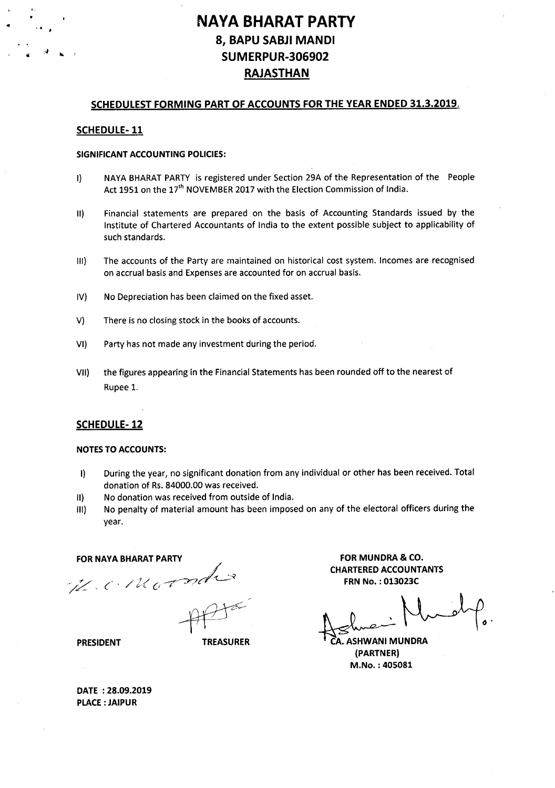# **NAVA SHARAT PARTY** 8, BAPU SABJI MANDI SUMERPUR-306902 RAJASTHAN

### SCHEDULEST FORMING PART OF ACCOUNTS FOR THE YEAR ENDED 31.3.2019,

### SCHEDULE-11

..

#### SIGNIFICANT ACCOUNTING POLICIES:

- I) NAYA BHARAT PARTY is registered under Section 29A of the Representation of the People Act 1951 on the 17<sup>th</sup> NOVEMBER 2017 with the Election Commission of India.
- II) Financial statements are prepared on the basis of Accounting Standards issued by the Institute of Chartered Accountants of India to the extent possible subject to applicability of such standards.
- III) The accounts of the Party are maintained on historical cost system. Incomes are recognised on accrual basis and Expenses are accounted for on accrual basis.
- IV) No Depreciation has been claimed on the fixed asset.
- V) There is no closing stock in the books of accounts.
- VI) Party has not made any investment during the period.
- VII) the figures appearing in the Financial Statements has been rounded off to the nearest of Rupee 1.

### SCHEDULE-12

#### NOTES TO ACCOUNTS:

- I) During the year, no significant donation from any individual or other has been received. Total donation of Rs.84000.00 was received.
- II) No donation was received from outside of India.
- III) No penalty of material amount has been imposed on any of the electoral officers during the year.

#### **FOR NAYA BHARAT PARTY**

H.C. Morado

PRESIDENT TREASURER

FOR MUNDRA & CO. CHARTERED ACCOUNTANTS FRN No. : 013023C

 $\pm$  element  $\sim$   $\sim$ 

**ASHWANI MUNDRA** (PARTNER) M.No. : 405081

DATE: 28.09.2019 PLACE: JAIPUR